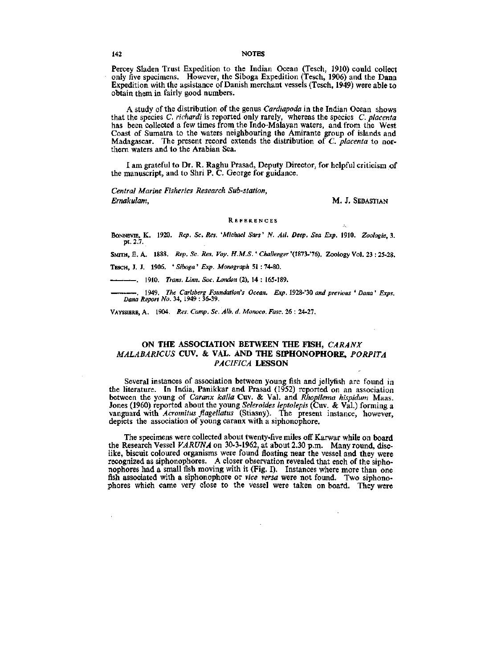## **ON THE ASSOCIATION BETWEEN THE FISH,** *CARANX MALABARICUS* **CUV.** & VAL. **AND THE SIPHONOPHORE,** *PORPITA PACIFICA* **LESSON**

VAYSSIERE, A . 1904. *Res. Camp. Sc. Alb. d. Monaco. Ease.* 26 : 24-27.

Several instances of association between young fish and jellyfish are found in the literature. In India, Panikkar and Prasad (1952) reported on an association between the young of *Caranx kalla* Cuv. & Val. and *Rhopilema hispidum* Maas. Jones (1960) reported about the young *Seleroides leptolepis* (Cuv. & Val.) forming a vanguard with *Acromitus ftagellatus* (Stiasny). The present instance, however, depicts the association of young caranx with a siphonophore.

The specimens were collected about twenty-five miles off Karwar while on board the Research Vessel *VARUNA* on 30-3-1962, at about 2.30 p.m. Many round, disclike, biscuit coloured organisms were found floating near the vessel and they were recognized as siphonophores. A closer observation revealed that each of the siphonophores had a small fish moving with it (Fig. I). Instances where more than one fish associated with a siphonophore or *vice versa* were not found. Two siphonophores which came very close to the vessel were taken on boafd. They were